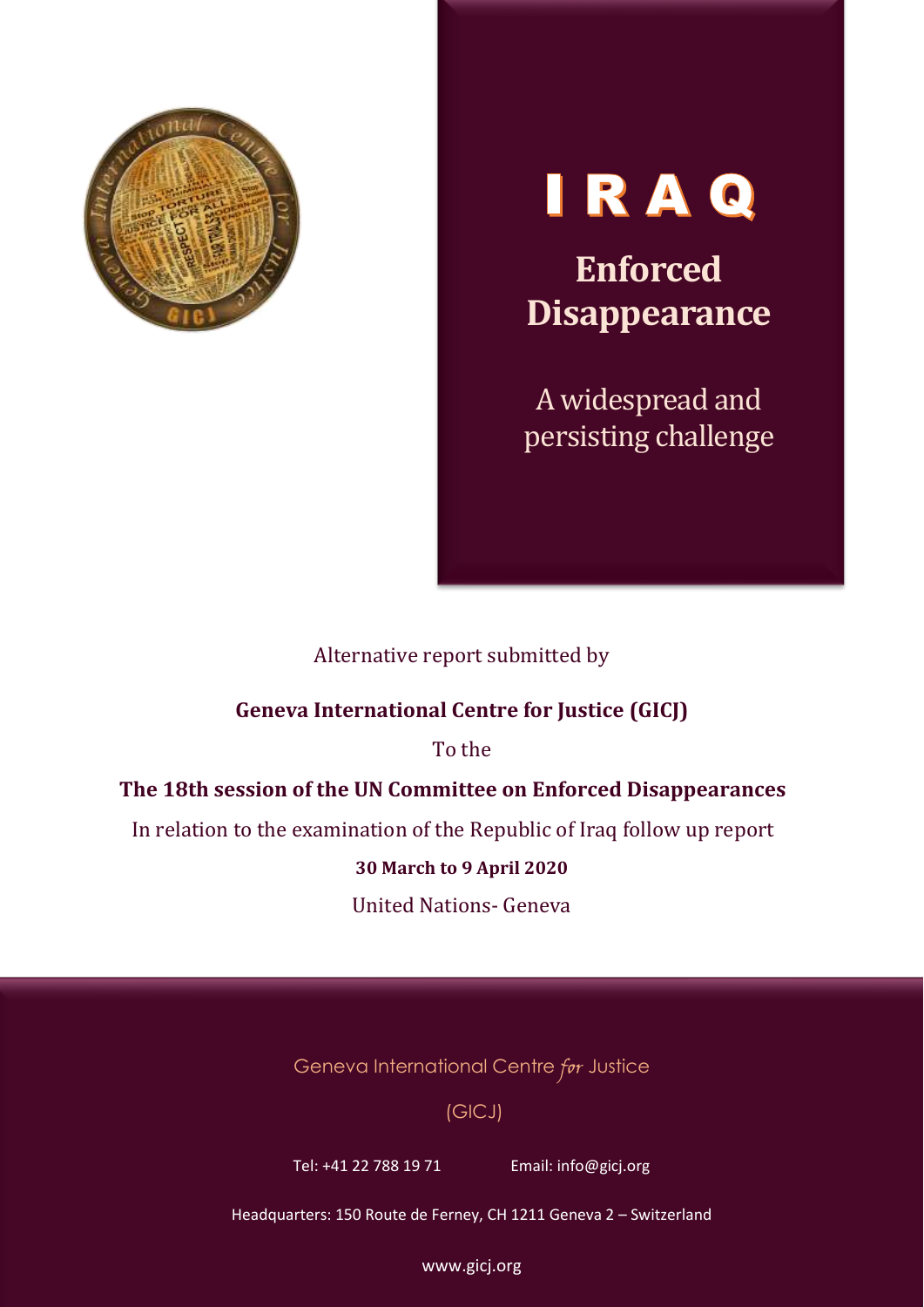

# IRAQ

**Enforced Disappearance**

A widespread and persisting challenge

### Alternative report submitted by

#### **Geneva International Centre for Justice (GICJ)**

To the

#### **The 18th session of the UN Committee on Enforced Disappearances**

In relation to the examination of the Republic of Iraq follow up report

#### **30 March to 9 April 2020**

United Nations- Geneva

Geneva International Centre for Justice

#### (GICJ)

Tel: +41 22 788 19 71 Email: info@gicj.org

Headquarters: 150 Route de Ferney, CH 1211 Geneva 2 – Switzerland

www.gicj.org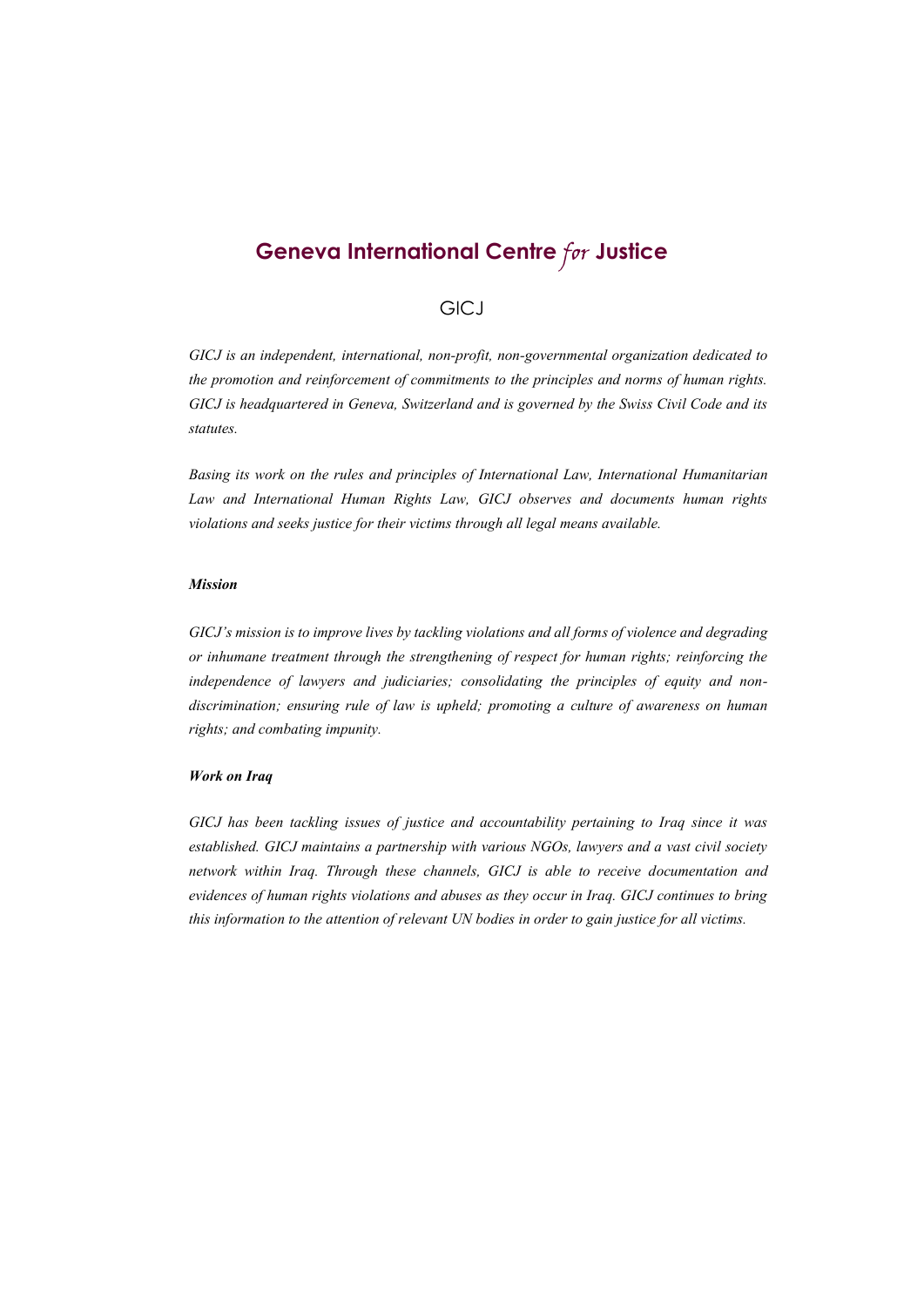## **Geneva International Centre** for **Justice**

#### **GICJ**

*GICJ is an independent, international, non-profit, non-governmental organization dedicated to the promotion and reinforcement of commitments to the principles and norms of human rights. GICJ is headquartered in Geneva, Switzerland and is governed by the Swiss Civil Code and its statutes.*

*Basing its work on the rules and principles of International Law, International Humanitarian Law and International Human Rights Law, GICJ observes and documents human rights violations and seeks justice for their victims through all legal means available.*

#### *Mission*

*GICJ's mission is to improve lives by tackling violations and all forms of violence and degrading or inhumane treatment through the strengthening of respect for human rights; reinforcing the independence of lawyers and judiciaries; consolidating the principles of equity and nondiscrimination; ensuring rule of law is upheld; promoting a culture of awareness on human rights; and combating impunity.*

#### *Work on Iraq*

*GICJ has been tackling issues of justice and accountability pertaining to Iraq since it was established. GICJ maintains a partnership with various NGOs, lawyers and a vast civil society network within Iraq. Through these channels, GICJ is able to receive documentation and evidences of human rights violations and abuses as they occur in Iraq. GICJ continues to bring this information to the attention of relevant UN bodies in order to gain justice for all victims.*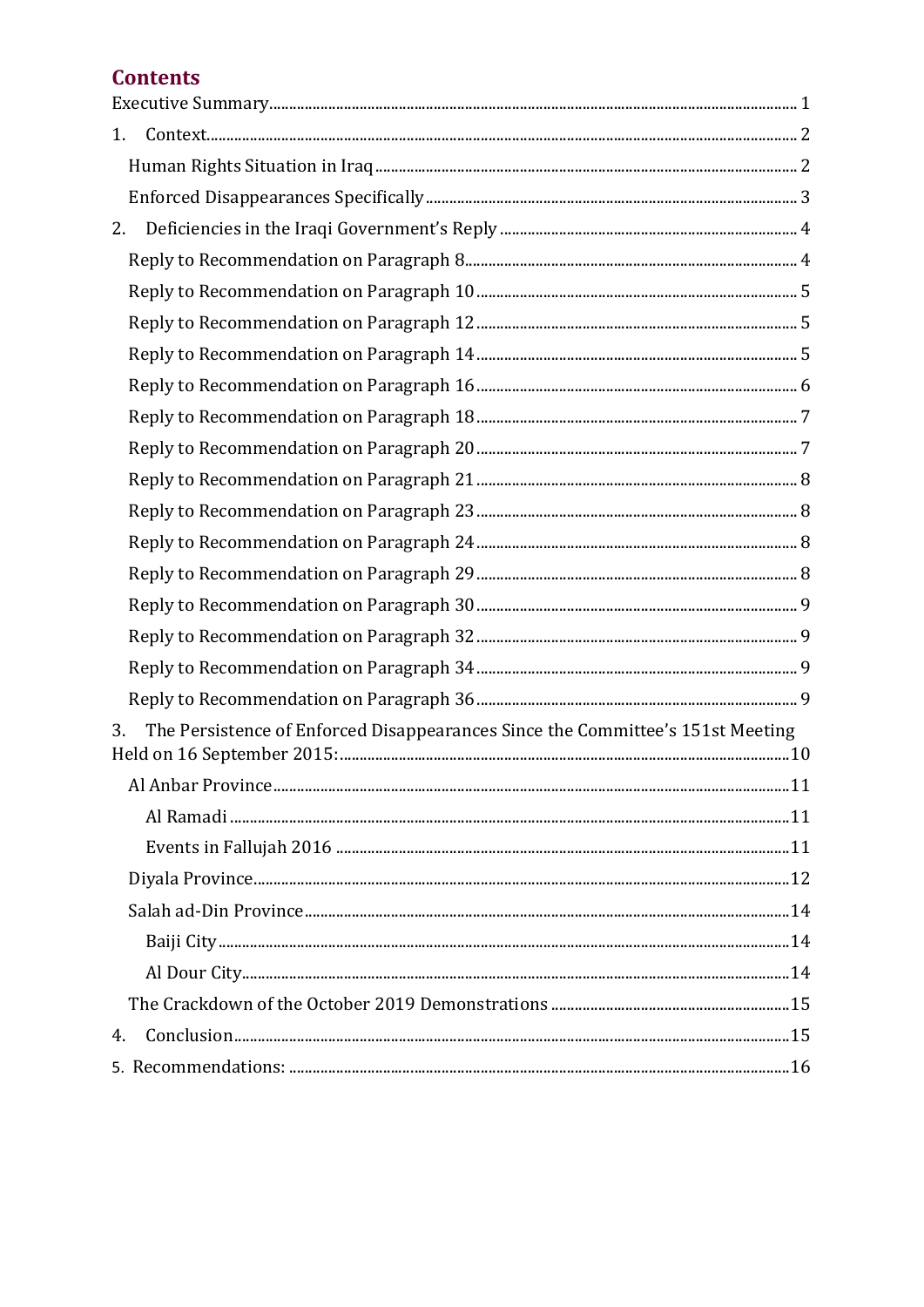## **Contents**

| 1.                                                                                   |  |
|--------------------------------------------------------------------------------------|--|
|                                                                                      |  |
|                                                                                      |  |
| 2.                                                                                   |  |
|                                                                                      |  |
|                                                                                      |  |
|                                                                                      |  |
|                                                                                      |  |
|                                                                                      |  |
|                                                                                      |  |
|                                                                                      |  |
|                                                                                      |  |
|                                                                                      |  |
|                                                                                      |  |
|                                                                                      |  |
|                                                                                      |  |
|                                                                                      |  |
|                                                                                      |  |
|                                                                                      |  |
| The Persistence of Enforced Disappearances Since the Committee's 151st Meeting<br>3. |  |
| Al Anhar Province.<br>11                                                             |  |
|                                                                                      |  |
|                                                                                      |  |
|                                                                                      |  |
|                                                                                      |  |
|                                                                                      |  |
|                                                                                      |  |
|                                                                                      |  |
| 4.                                                                                   |  |
|                                                                                      |  |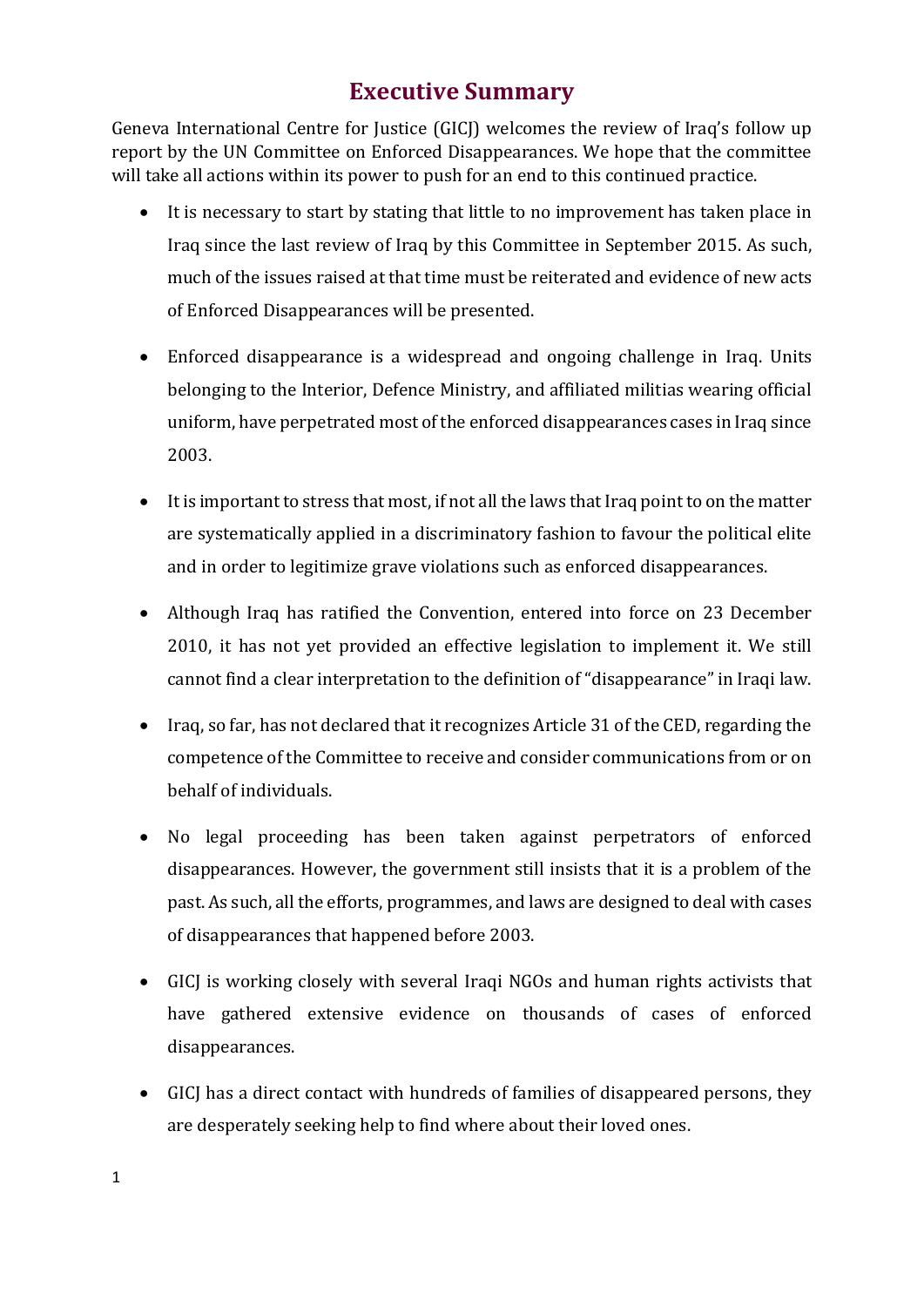## **Executive Summary**

<span id="page-3-0"></span>Geneva International Centre for Justice (GICJ) welcomes the review of Iraq's follow up report by the UN Committee on Enforced Disappearances. We hope that the committee will take all actions within its power to push for an end to this continued practice.

- It is necessary to start by stating that little to no improvement has taken place in Iraq since the last review of Iraq by this Committee in September 2015. As such, much of the issues raised at that time must be reiterated and evidence of new acts of Enforced Disappearances will be presented.
- Enforced disappearance is a widespread and ongoing challenge in Iraq. Units belonging to the Interior, Defence Ministry, and affiliated militias wearing official uniform, have perpetrated most of the enforced disappearances cases in Iraq since 2003.
- It is important to stress that most, if not all the laws that Iraq point to on the matter are systematically applied in a discriminatory fashion to favour the political elite and in order to legitimize grave violations such as enforced disappearances.
- Although Iraq has ratified the Convention, entered into force on 23 December 2010, it has not yet provided an effective legislation to implement it. We still cannot find a clear interpretation to the definition of "disappearance" in Iraqi law.
- Iraq, so far, has not declared that it recognizes Article 31 of the CED, regarding the competence of the Committee to receive and consider communications from or on behalf of individuals.
- No legal proceeding has been taken against perpetrators of enforced disappearances. However, the government still insists that it is a problem of the past. As such, all the efforts, programmes, and laws are designed to deal with cases of disappearances that happened before 2003.
- GICJ is working closely with several Iraqi NGOs and human rights activists that have gathered extensive evidence on thousands of cases of enforced disappearances.
- GICJ has a direct contact with hundreds of families of disappeared persons, they are desperately seeking help to find where about their loved ones.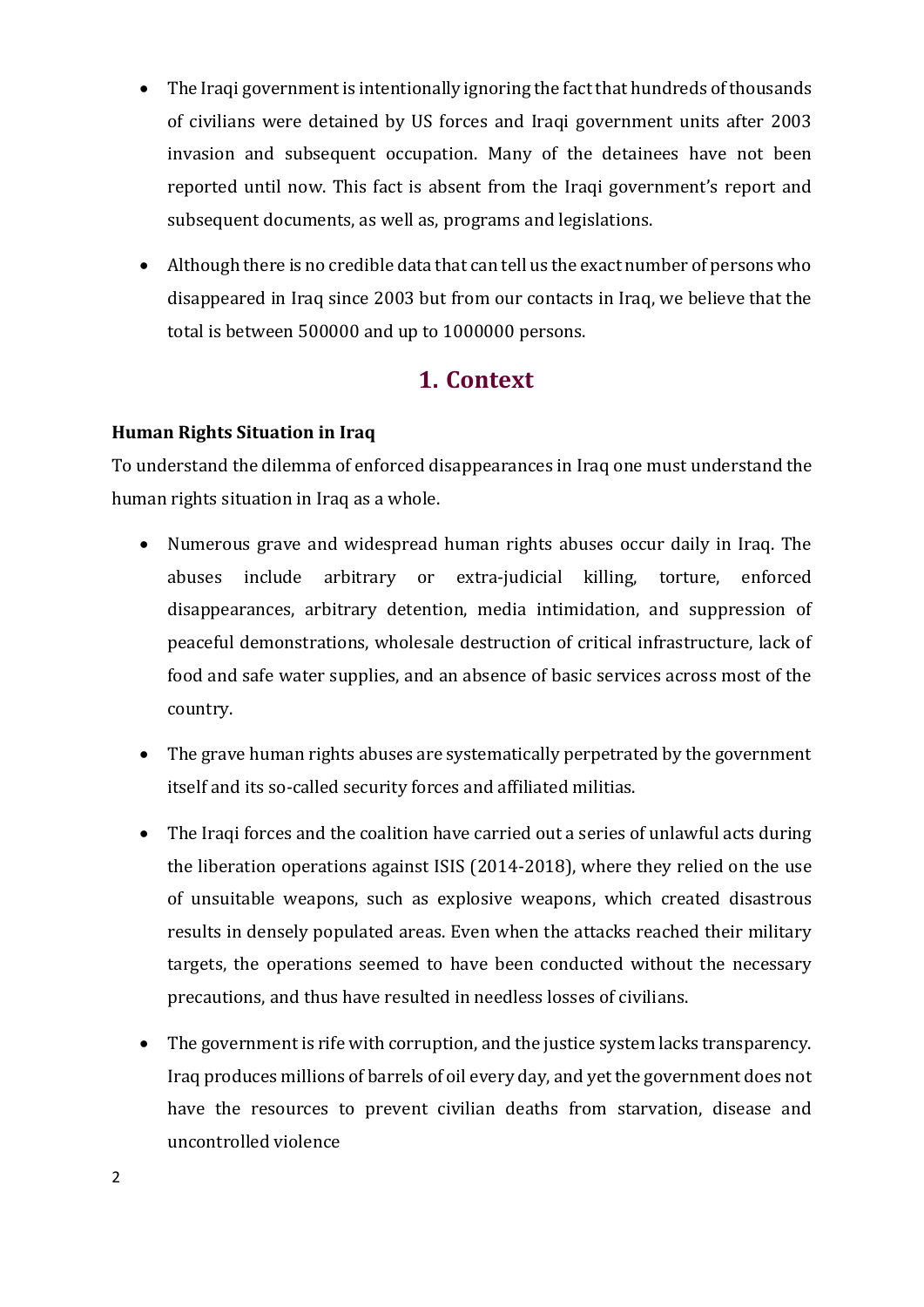- The Iraqi government is intentionally ignoring the fact that hundreds of thousands of civilians were detained by US forces and Iraqi government units after 2003 invasion and subsequent occupation. Many of the detainees have not been reported until now. This fact is absent from the Iraqi government's report and subsequent documents, as well as, programs and legislations.
- Although there is no credible data that can tell us the exact number of persons who disappeared in Iraq since 2003 but from our contacts in Iraq, we believe that the total is between 500000 and up to 1000000 persons.

## **1. Context**

#### <span id="page-4-1"></span><span id="page-4-0"></span>**Human Rights Situation in Iraq**

To understand the dilemma of enforced disappearances in Iraq one must understand the human rights situation in Iraq as a whole.

- Numerous grave and widespread human rights abuses occur daily in Iraq. The abuses include arbitrary or extra-judicial killing, torture, enforced disappearances, arbitrary detention, media intimidation, and suppression of peaceful demonstrations, wholesale destruction of critical infrastructure, lack of food and safe water supplies, and an absence of basic services across most of the country.
- The grave human rights abuses are systematically perpetrated by the government itself and its so-called security forces and affiliated militias.
- The Iraqi forces and the coalition have carried out a series of unlawful acts during the liberation operations against ISIS (2014-2018), where they relied on the use of unsuitable weapons, such as explosive weapons, which created disastrous results in densely populated areas. Even when the attacks reached their military targets, the operations seemed to have been conducted without the necessary precautions, and thus have resulted in needless losses of civilians.
- The government is rife with corruption, and the justice system lacks transparency. Iraq produces millions of barrels of oil every day, and yet the government does not have the resources to prevent civilian deaths from starvation, disease and uncontrolled violence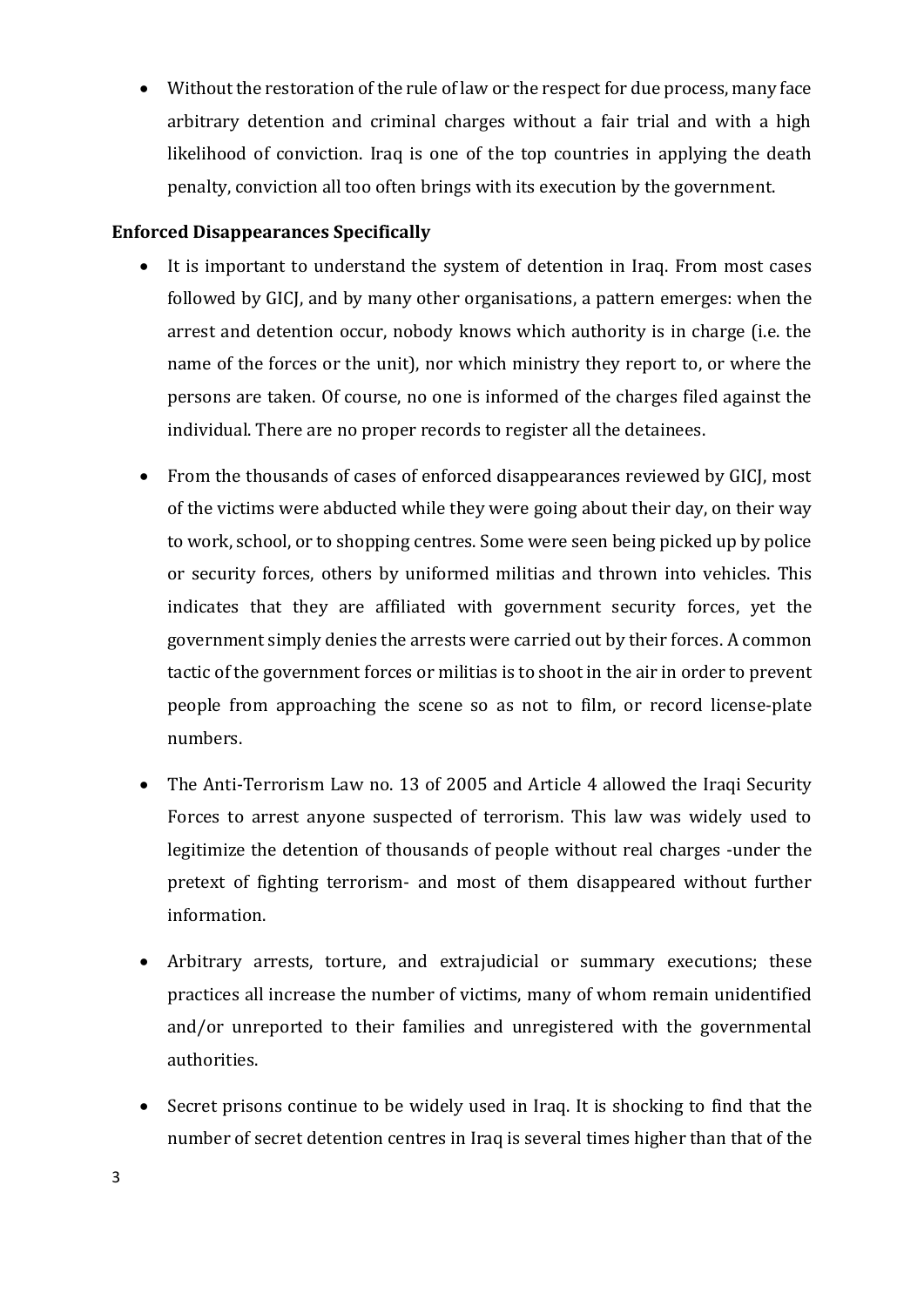• Without the restoration of the rule of law or the respect for due process, many face arbitrary detention and criminal charges without a fair trial and with a high likelihood of conviction. Iraq is one of the top countries in applying the death penalty, conviction all too often brings with its execution by the government.

#### <span id="page-5-0"></span>**Enforced Disappearances Specifically**

- It is important to understand the system of detention in Iraq. From most cases followed by GICJ, and by many other organisations, a pattern emerges: when the arrest and detention occur, nobody knows which authority is in charge (i.e. the name of the forces or the unit), nor which ministry they report to, or where the persons are taken. Of course, no one is informed of the charges filed against the individual. There are no proper records to register all the detainees.
- From the thousands of cases of enforced disappearances reviewed by GICJ, most of the victims were abducted while they were going about their day, on their way to work, school, or to shopping centres. Some were seen being picked up by police or security forces, others by uniformed militias and thrown into vehicles. This indicates that they are affiliated with government security forces, yet the government simply denies the arrests were carried out by their forces. A common tactic of the government forces or militias is to shoot in the air in order to prevent people from approaching the scene so as not to film, or record license-plate numbers.
- The Anti-Terrorism Law no. 13 of 2005 and Article 4 allowed the Iraqi Security Forces to arrest anyone suspected of terrorism. This law was widely used to legitimize the detention of thousands of people without real charges -under the pretext of fighting terrorism- and most of them disappeared without further information.
- Arbitrary arrests, torture, and extrajudicial or summary executions; these practices all increase the number of victims, many of whom remain unidentified and/or unreported to their families and unregistered with the governmental authorities.
- Secret prisons continue to be widely used in Iraq. It is shocking to find that the number of secret detention centres in Iraq is several times higher than that of the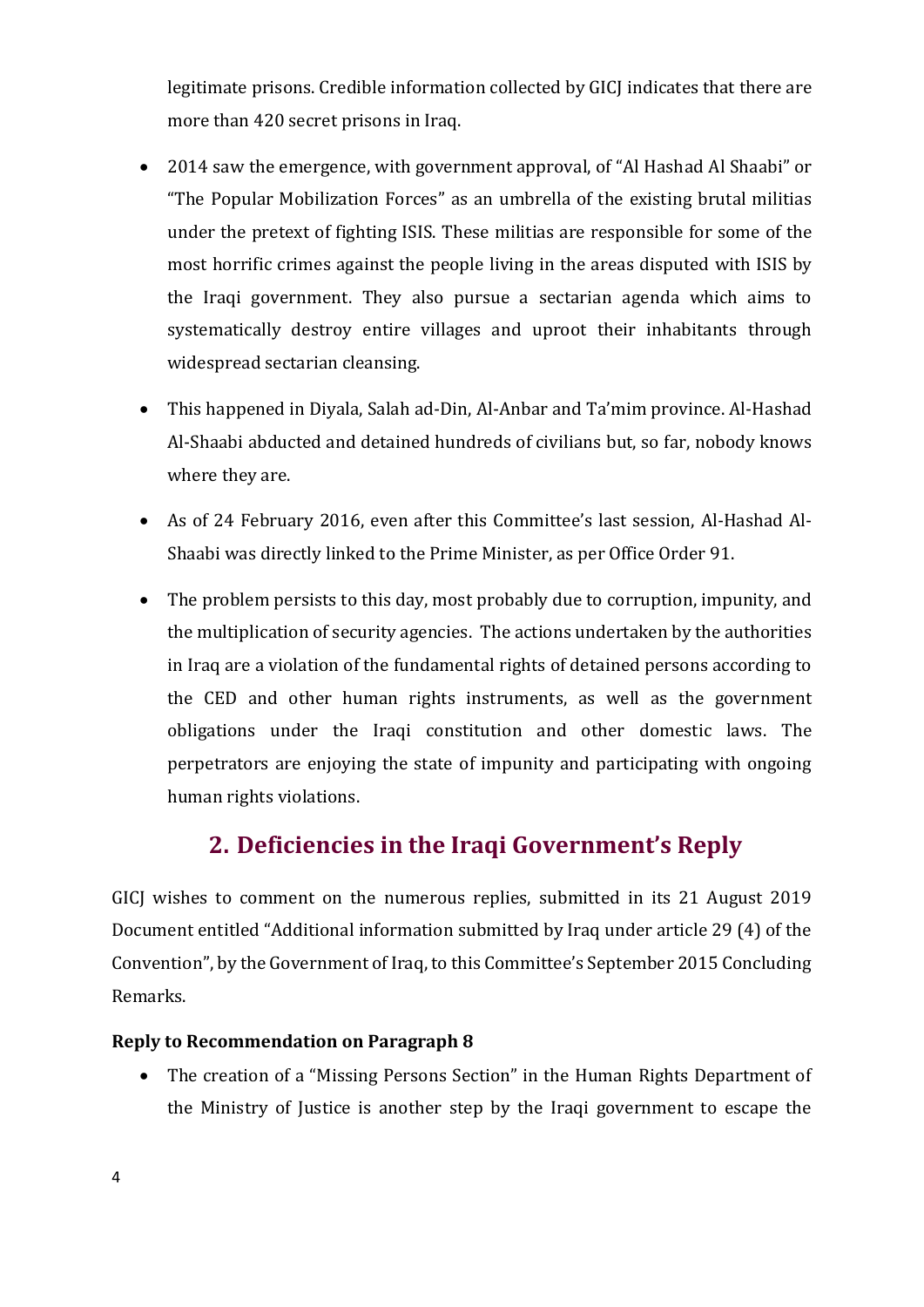legitimate prisons. Credible information collected by GICJ indicates that there are more than 420 secret prisons in Iraq.

- 2014 saw the emergence, with government approval, of "Al Hashad Al Shaabi" or "The Popular Mobilization Forces" as an umbrella of the existing brutal militias under the pretext of fighting ISIS. These militias are responsible for some of the most horrific crimes against the people living in the areas disputed with ISIS by the Iraqi government. They also pursue a sectarian agenda which aims to systematically destroy entire villages and uproot their inhabitants through widespread sectarian cleansing.
- This happened in Diyala, Salah ad-Din, Al-Anbar and Ta'mim province. Al-Hashad Al-Shaabi abducted and detained hundreds of civilians but, so far, nobody knows where they are.
- As of 24 February 2016, even after this Committee's last session, Al-Hashad Al-Shaabi was directly linked to the Prime Minister, as per Office Order 91.
- The problem persists to this day, most probably due to corruption, impunity, and the multiplication of security agencies. The actions undertaken by the authorities in Iraq are a violation of the fundamental rights of detained persons according to the CED and other human rights instruments, as well as the government obligations under the Iraqi constitution and other domestic laws. The perpetrators are enjoying the state of impunity and participating with ongoing human rights violations.

## **2. Deficiencies in the Iraqi Government's Reply**

<span id="page-6-0"></span>GICJ wishes to comment on the numerous replies, submitted in its 21 August 2019 Document entitled "Additional information submitted by Iraq under article 29 (4) of the Convention", by the Government of Iraq, to this Committee's September 2015 Concluding Remarks.

#### <span id="page-6-1"></span>**Reply to Recommendation on Paragraph 8**

• The creation of a "Missing Persons Section" in the Human Rights Department of the Ministry of Justice is another step by the Iraqi government to escape the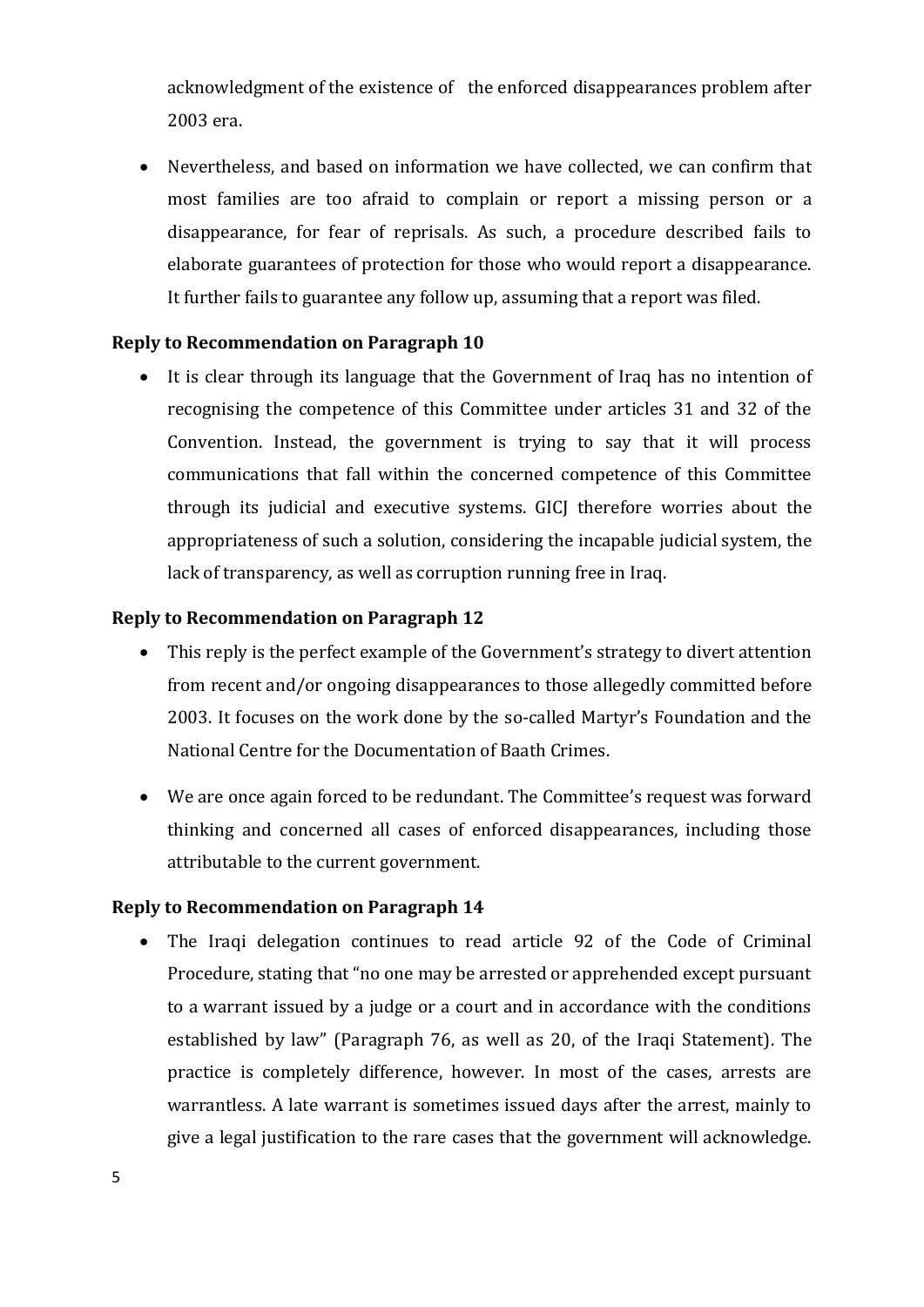acknowledgment of the existence of the enforced disappearances problem after 2003 era.

• Nevertheless, and based on information we have collected, we can confirm that most families are too afraid to complain or report a missing person or a disappearance, for fear of reprisals. As such, a procedure described fails to elaborate guarantees of protection for those who would report a disappearance. It further fails to guarantee any follow up, assuming that a report was filed.

#### <span id="page-7-0"></span>**Reply to Recommendation on Paragraph 10**

• It is clear through its language that the Government of Iraq has no intention of recognising the competence of this Committee under articles 31 and 32 of the Convention. Instead, the government is trying to say that it will process communications that fall within the concerned competence of this Committee through its judicial and executive systems. GICJ therefore worries about the appropriateness of such a solution, considering the incapable judicial system, the lack of transparency, as well as corruption running free in Iraq.

#### <span id="page-7-1"></span>**Reply to Recommendation on Paragraph 12**

- This reply is the perfect example of the Government's strategy to divert attention from recent and/or ongoing disappearances to those allegedly committed before 2003. It focuses on the work done by the so-called Martyr's Foundation and the National Centre for the Documentation of Baath Crimes.
- We are once again forced to be redundant. The Committee's request was forward thinking and concerned all cases of enforced disappearances, including those attributable to the current government.

#### <span id="page-7-2"></span>**Reply to Recommendation on Paragraph 14**

• The Iraqi delegation continues to read article 92 of the Code of Criminal Procedure, stating that "no one may be arrested or apprehended except pursuant to a warrant issued by a judge or a court and in accordance with the conditions established by law" (Paragraph 76, as well as 20, of the Iraqi Statement). The practice is completely difference, however. In most of the cases, arrests are warrantless. A late warrant is sometimes issued days after the arrest, mainly to give a legal justification to the rare cases that the government will acknowledge.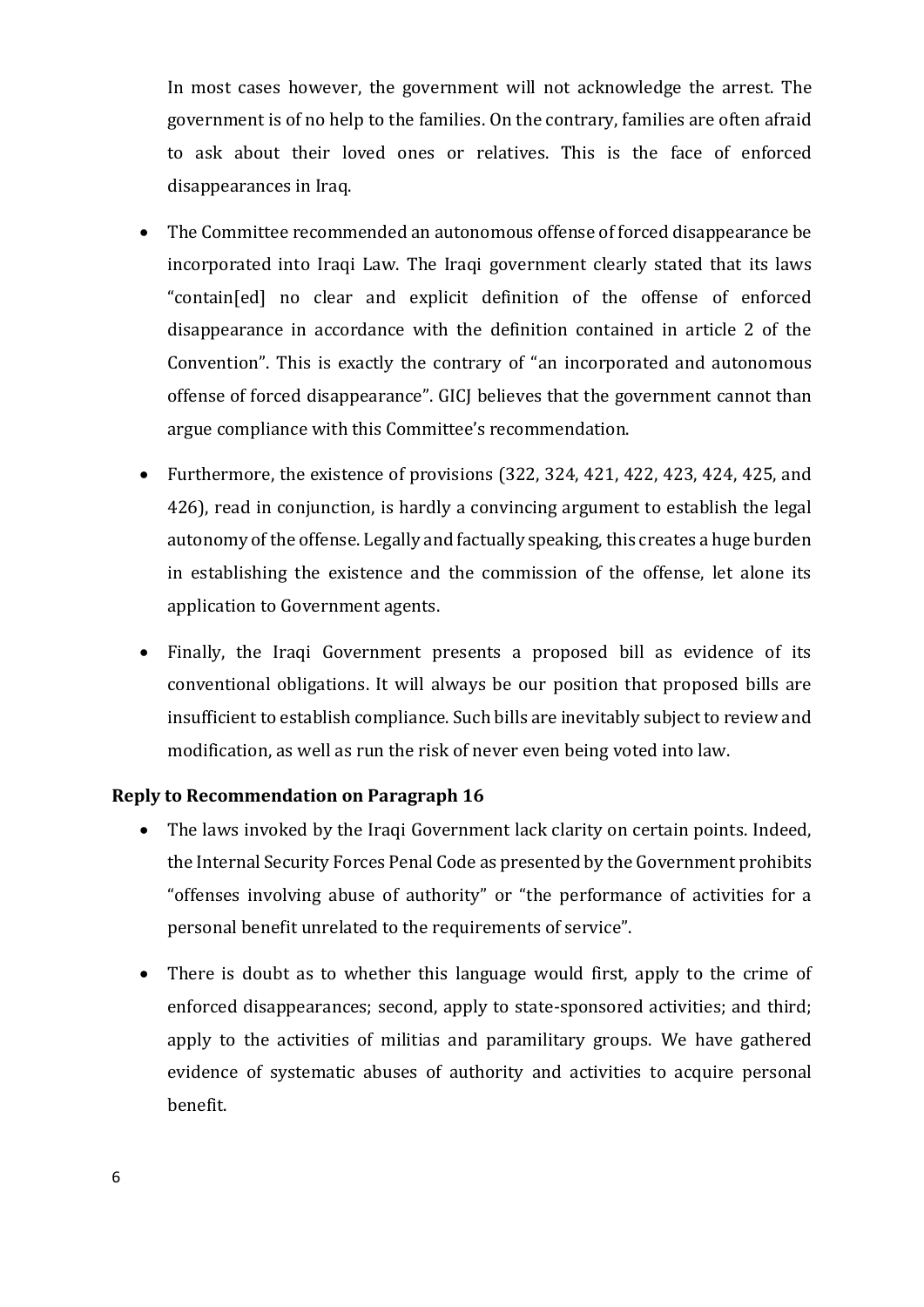In most cases however, the government will not acknowledge the arrest. The government is of no help to the families. On the contrary, families are often afraid to ask about their loved ones or relatives. This is the face of enforced disappearances in Iraq.

- The Committee recommended an autonomous offense of forced disappearance be incorporated into Iraqi Law. The Iraqi government clearly stated that its laws "contain[ed] no clear and explicit definition of the offense of enforced disappearance in accordance with the definition contained in article 2 of the Convention". This is exactly the contrary of "an incorporated and autonomous offense of forced disappearance". GICJ believes that the government cannot than argue compliance with this Committee's recommendation.
- Furthermore, the existence of provisions (322, 324, 421, 422, 423, 424, 425, and 426), read in conjunction, is hardly a convincing argument to establish the legal autonomy of the offense. Legally and factually speaking, this creates a huge burden in establishing the existence and the commission of the offense, let alone its application to Government agents.
- Finally, the Iraqi Government presents a proposed bill as evidence of its conventional obligations. It will always be our position that proposed bills are insufficient to establish compliance. Such bills are inevitably subject to review and modification, as well as run the risk of never even being voted into law.

#### <span id="page-8-0"></span>**Reply to Recommendation on Paragraph 16**

- The laws invoked by the Iraqi Government lack clarity on certain points. Indeed, the Internal Security Forces Penal Code as presented by the Government prohibits "offenses involving abuse of authority" or "the performance of activities for a personal benefit unrelated to the requirements of service".
- There is doubt as to whether this language would first, apply to the crime of enforced disappearances; second, apply to state-sponsored activities; and third; apply to the activities of militias and paramilitary groups. We have gathered evidence of systematic abuses of authority and activities to acquire personal benefit.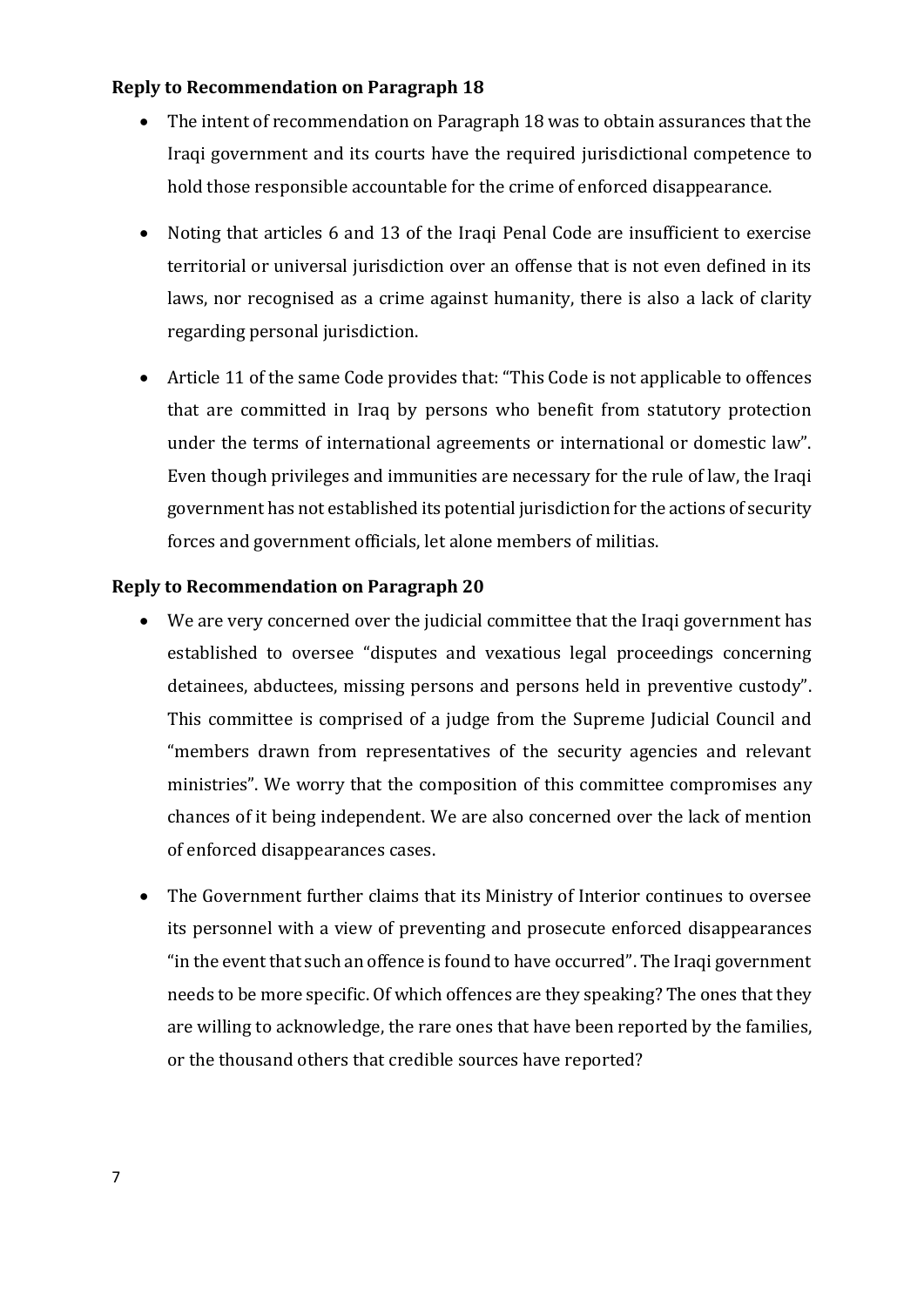#### <span id="page-9-0"></span>**Reply to Recommendation on Paragraph 18**

- The intent of recommendation on Paragraph 18 was to obtain assurances that the Iraqi government and its courts have the required jurisdictional competence to hold those responsible accountable for the crime of enforced disappearance.
- Noting that articles 6 and 13 of the Iraqi Penal Code are insufficient to exercise territorial or universal jurisdiction over an offense that is not even defined in its laws, nor recognised as a crime against humanity, there is also a lack of clarity regarding personal jurisdiction.
- Article 11 of the same Code provides that: "This Code is not applicable to offences that are committed in Iraq by persons who benefit from statutory protection under the terms of international agreements or international or domestic law". Even though privileges and immunities are necessary for the rule of law, the Iraqi government has not established its potential jurisdiction for the actions of security forces and government officials, let alone members of militias.

#### <span id="page-9-1"></span>**Reply to Recommendation on Paragraph 20**

- We are very concerned over the judicial committee that the Iraqi government has established to oversee "disputes and vexatious legal proceedings concerning detainees, abductees, missing persons and persons held in preventive custody". This committee is comprised of a judge from the Supreme Judicial Council and "members drawn from representatives of the security agencies and relevant ministries". We worry that the composition of this committee compromises any chances of it being independent. We are also concerned over the lack of mention of enforced disappearances cases.
- The Government further claims that its Ministry of Interior continues to oversee its personnel with a view of preventing and prosecute enforced disappearances "in the event that such an offence is found to have occurred". The Iraqi government needs to be more specific. Of which offences are they speaking? The ones that they are willing to acknowledge, the rare ones that have been reported by the families, or the thousand others that credible sources have reported?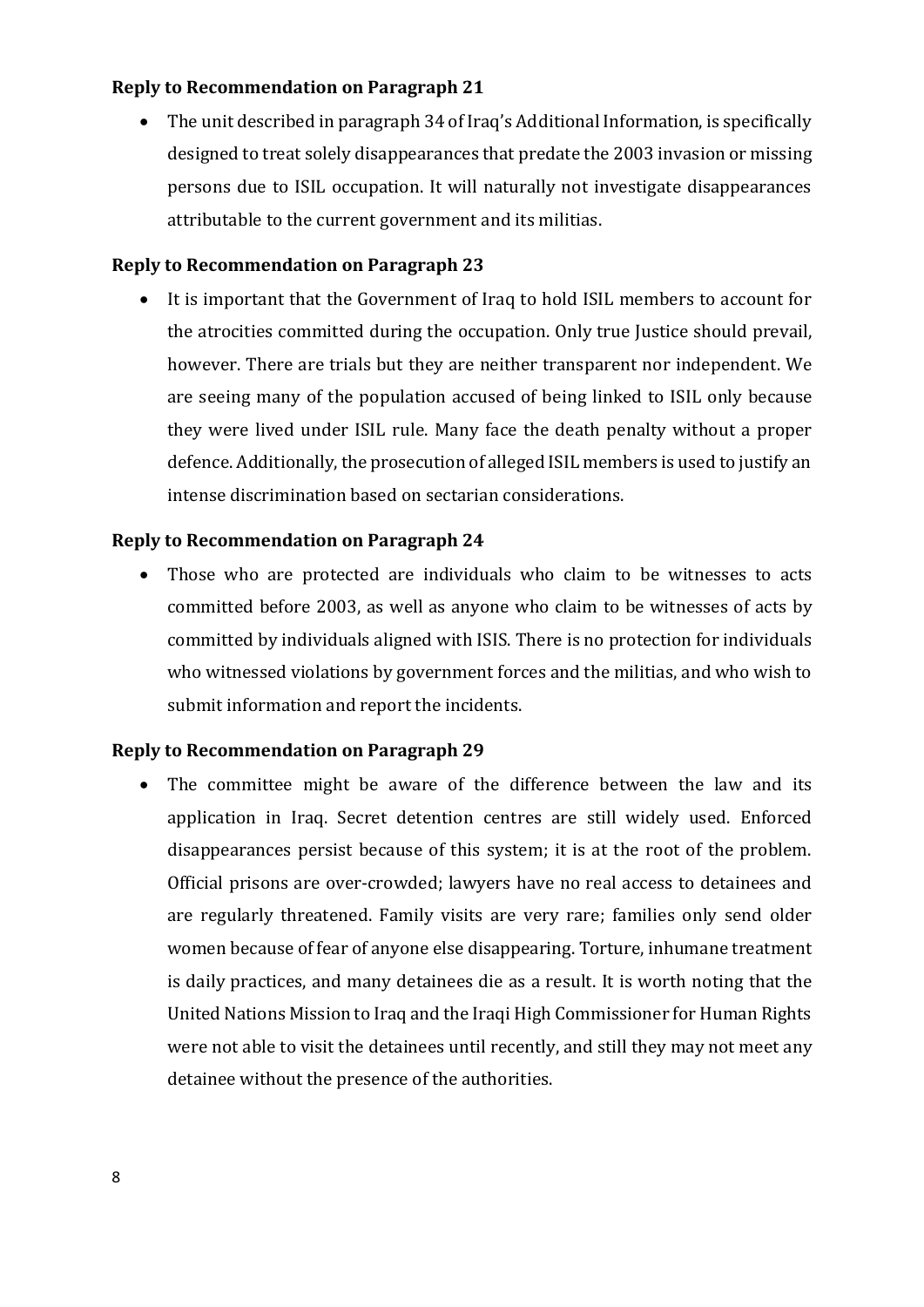#### <span id="page-10-0"></span>**Reply to Recommendation on Paragraph 21**

• The unit described in paragraph 34 of Iraq's Additional Information, is specifically designed to treat solely disappearances that predate the 2003 invasion or missing persons due to ISIL occupation. It will naturally not investigate disappearances attributable to the current government and its militias.

#### <span id="page-10-1"></span>**Reply to Recommendation on Paragraph 23**

• It is important that the Government of Iraq to hold ISIL members to account for the atrocities committed during the occupation. Only true Justice should prevail, however. There are trials but they are neither transparent nor independent. We are seeing many of the population accused of being linked to ISIL only because they were lived under ISIL rule. Many face the death penalty without a proper defence. Additionally, the prosecution of alleged ISIL members is used to justify an intense discrimination based on sectarian considerations.

#### <span id="page-10-2"></span>**Reply to Recommendation on Paragraph 24**

Those who are protected are individuals who claim to be witnesses to acts committed before 2003, as well as anyone who claim to be witnesses of acts by committed by individuals aligned with ISIS. There is no protection for individuals who witnessed violations by government forces and the militias, and who wish to submit information and report the incidents.

#### <span id="page-10-3"></span>**Reply to Recommendation on Paragraph 29**

• The committee might be aware of the difference between the law and its application in Iraq. Secret detention centres are still widely used. Enforced disappearances persist because of this system; it is at the root of the problem. Official prisons are over-crowded; lawyers have no real access to detainees and are regularly threatened. Family visits are very rare; families only send older women because of fear of anyone else disappearing. Torture, inhumane treatment is daily practices, and many detainees die as a result. It is worth noting that the United Nations Mission to Iraq and the Iraqi High Commissioner for Human Rights were not able to visit the detainees until recently, and still they may not meet any detainee without the presence of the authorities.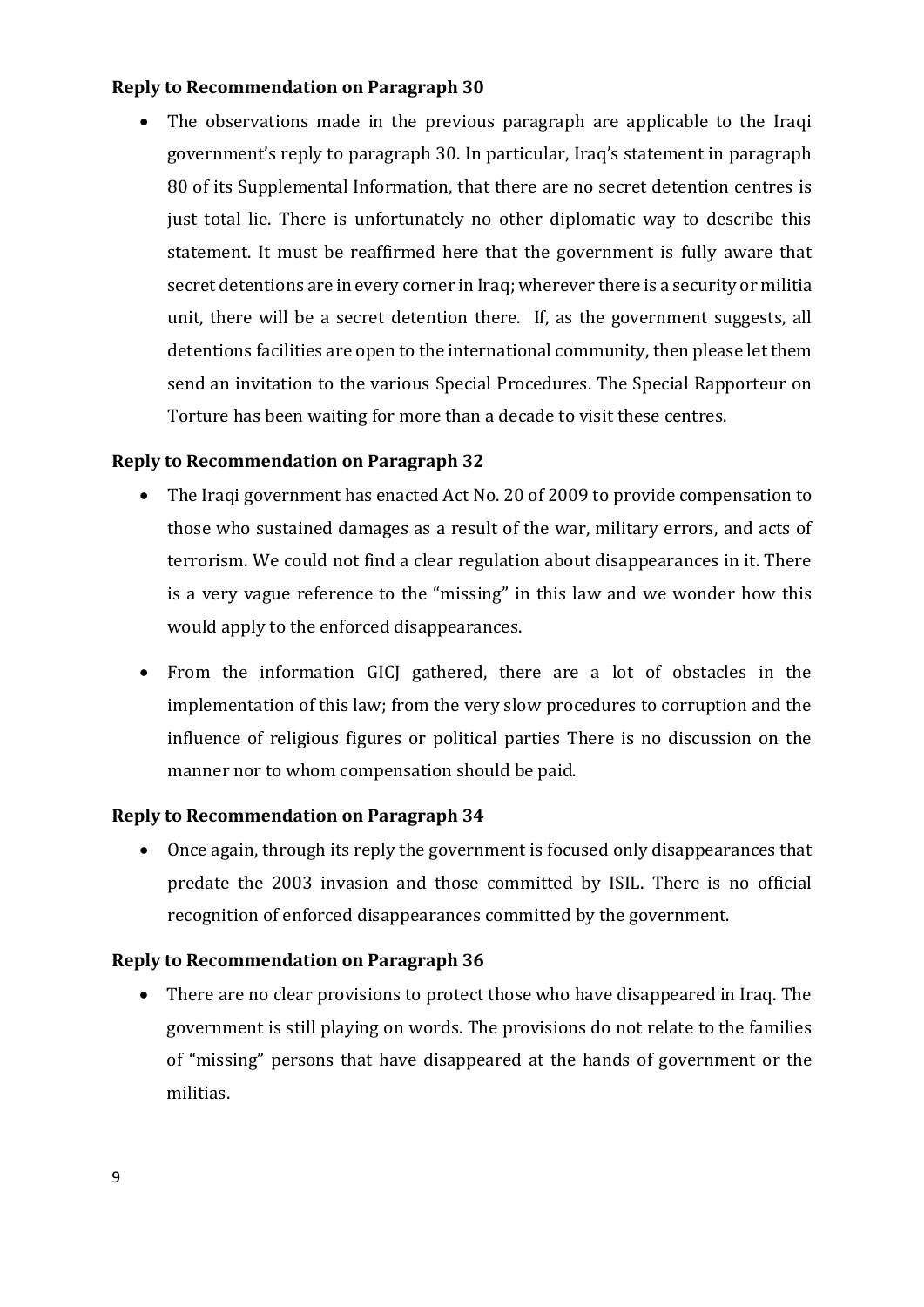#### <span id="page-11-0"></span>**Reply to Recommendation on Paragraph 30**

• The observations made in the previous paragraph are applicable to the Iraqi government's reply to paragraph 30. In particular, Iraq's statement in paragraph 80 of its Supplemental Information, that there are no secret detention centres is just total lie. There is unfortunately no other diplomatic way to describe this statement. It must be reaffirmed here that the government is fully aware that secret detentions are in every corner in Iraq; wherever there is a security or militia unit, there will be a secret detention there. If, as the government suggests, all detentions facilities are open to the international community, then please let them send an invitation to the various Special Procedures. The Special Rapporteur on Torture has been waiting for more than a decade to visit these centres.

#### <span id="page-11-1"></span>**Reply to Recommendation on Paragraph 32**

- The Iraqi government has enacted Act No. 20 of 2009 to provide compensation to those who sustained damages as a result of the war, military errors, and acts of terrorism. We could not find a clear regulation about disappearances in it. There is a very vague reference to the "missing" in this law and we wonder how this would apply to the enforced disappearances.
- From the information GICJ gathered, there are a lot of obstacles in the implementation of this law; from the very slow procedures to corruption and the influence of religious figures or political parties There is no discussion on the manner nor to whom compensation should be paid.

#### <span id="page-11-2"></span>**Reply to Recommendation on Paragraph 34**

• Once again, through its reply the government is focused only disappearances that predate the 2003 invasion and those committed by ISIL. There is no official recognition of enforced disappearances committed by the government.

#### <span id="page-11-3"></span>**Reply to Recommendation on Paragraph 36**

• There are no clear provisions to protect those who have disappeared in Iraq. The government is still playing on words. The provisions do not relate to the families of "missing" persons that have disappeared at the hands of government or the militias.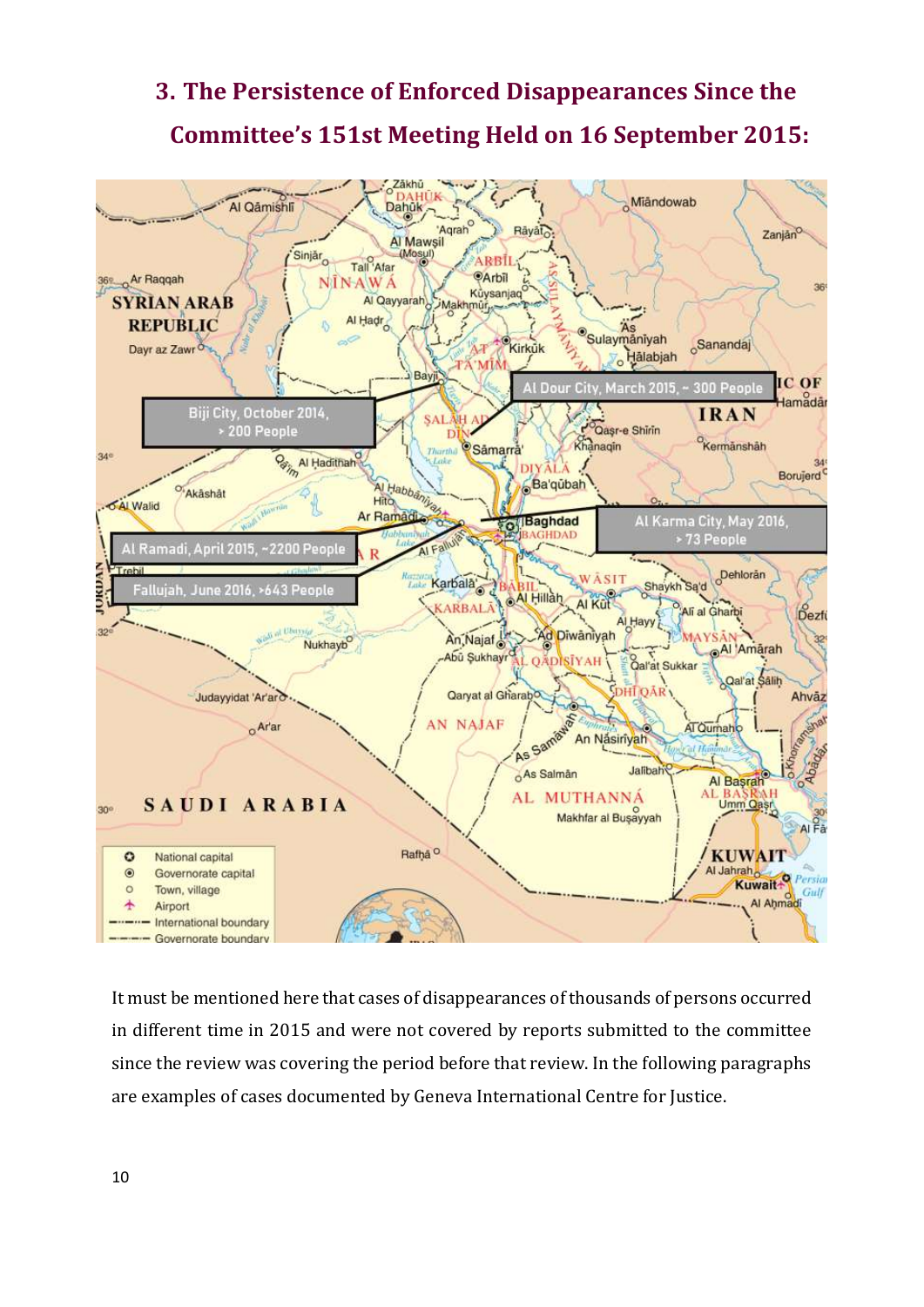# <span id="page-12-0"></span>**3. The Persistence of Enforced Disappearances Since the Committee's 151st Meeting Held on 16 September 2015:**



It must be mentioned here that cases of disappearances of thousands of persons occurred in different time in 2015 and were not covered by reports submitted to the committee since the review was covering the period before that review. In the following paragraphs are examples of cases documented by Geneva International Centre for Justice.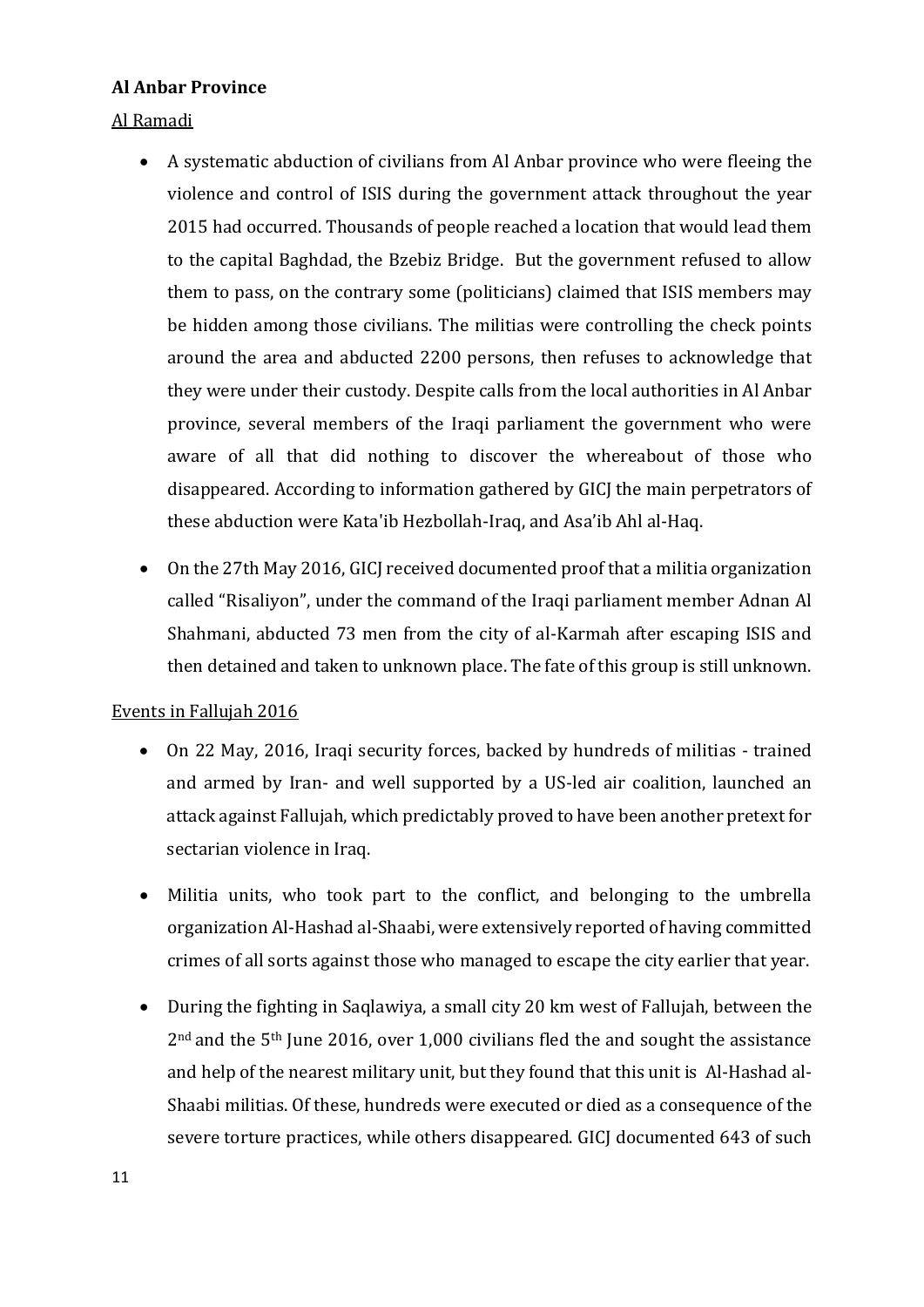#### <span id="page-13-0"></span>**Al Anbar Province**

<span id="page-13-1"></span>Al Ramadi

- A systematic abduction of civilians from Al Anbar province who were fleeing the violence and control of ISIS during the government attack throughout the year 2015 had occurred. Thousands of people reached a location that would lead them to the capital Baghdad, the Bzebiz Bridge. But the government refused to allow them to pass, on the contrary some (politicians) claimed that ISIS members may be hidden among those civilians. The militias were controlling the check points around the area and abducted 2200 persons, then refuses to acknowledge that they were under their custody. Despite calls from the local authorities in Al Anbar province, several members of the Iraqi parliament the government who were aware of all that did nothing to discover the whereabout of those who disappeared. According to information gathered by GICJ the main perpetrators of these abduction were Kata'ib Hezbollah-Iraq, and Asa'ib Ahl al-Haq.
- On the 27th May 2016, GICJ received documented proof that a militia organization called "Risaliyon", under the command of the Iraqi parliament member Adnan Al Shahmani, abducted 73 men from the city of al-Karmah after escaping ISIS and then detained and taken to unknown place. The fate of this group is still unknown.

<span id="page-13-2"></span>Events in Fallujah 2016

- On 22 May, 2016, Iraqi security forces, backed by hundreds of militias trained and armed by Iran- and well supported by a US-led air coalition, launched an attack against Fallujah, which predictably proved to have been another pretext for sectarian violence in Iraq.
- Militia units, who took part to the conflict, and belonging to the umbrella organization Al-Hashad al-Shaabi, were extensively reported of having committed crimes of all sorts against those who managed to escape the city earlier that year.
- During the fighting in Saqlawiya, a small city 20 km west of Fallujah, between the 2nd and the 5th June 2016, over 1,000 civilians fled the and sought the assistance and help of the nearest military unit, but they found that this unit is Al-Hashad al-Shaabi militias. Of these, hundreds were executed or died as a consequence of the severe torture practices, while others disappeared. GICJ documented 643 of such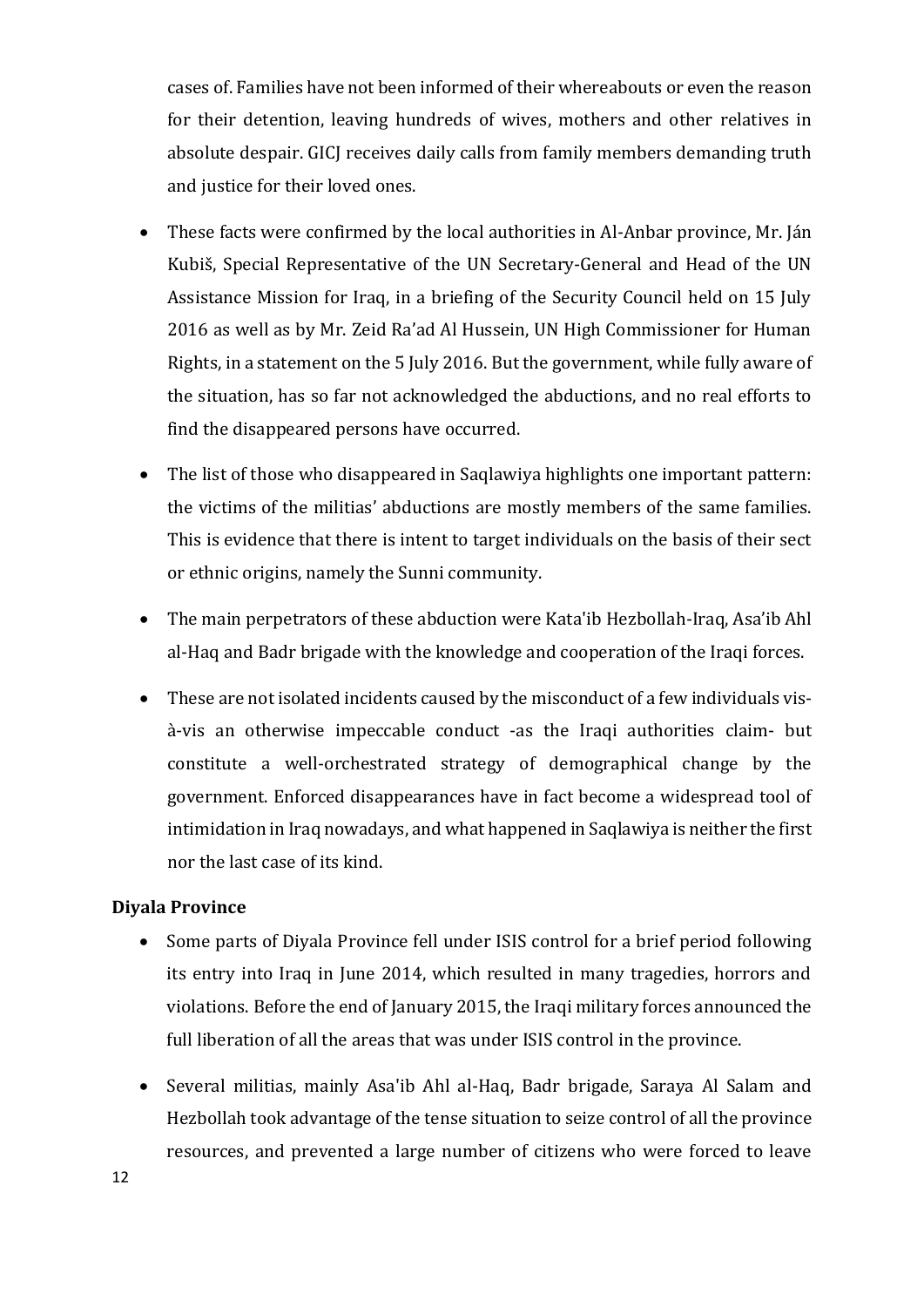cases of. Families have not been informed of their whereabouts or even the reason for their detention, leaving hundreds of wives, mothers and other relatives in absolute despair. GICJ receives daily calls from family members demanding truth and justice for their loved ones.

- These facts were confirmed by the local authorities in Al-Anbar province, Mr. Ján Kubiš, Special Representative of the UN Secretary-General and Head of the UN Assistance Mission for Iraq, in a briefing of the Security Council held on 15 July 2016 as well as by Mr. Zeid Ra'ad Al Hussein, UN High Commissioner for Human Rights, in a statement on the 5 July 2016. But the government, while fully aware of the situation, has so far not acknowledged the abductions, and no real efforts to find the disappeared persons have occurred.
- The list of those who disappeared in Saqlawiya highlights one important pattern: the victims of the militias' abductions are mostly members of the same families. This is evidence that there is intent to target individuals on the basis of their sect or ethnic origins, namely the Sunni community.
- The main perpetrators of these abduction were Kata'ib Hezbollah-Iraq, Asa'ib Ahl al-Haq and Badr brigade with the knowledge and cooperation of the Iraqi forces.
- These are not isolated incidents caused by the misconduct of a few individuals visà-vis an otherwise impeccable conduct -as the Iraqi authorities claim- but constitute a well-orchestrated strategy of demographical change by the government. Enforced disappearances have in fact become a widespread tool of intimidation in Iraq nowadays, and what happened in Saqlawiya is neither the first nor the last case of its kind.

#### <span id="page-14-0"></span>**Diyala Province**

- Some parts of Diyala Province fell under ISIS control for a brief period following its entry into Iraq in June 2014, which resulted in many tragedies, horrors and violations. Before the end of January 2015, the Iraqi military forces announced the full liberation of all the areas that was under ISIS control in the province.
- Several militias, mainly Asa'ib Ahl al-Haq, Badr brigade, Saraya Al Salam and Hezbollah took advantage of the tense situation to seize control of all the province resources, and prevented a large number of citizens who were forced to leave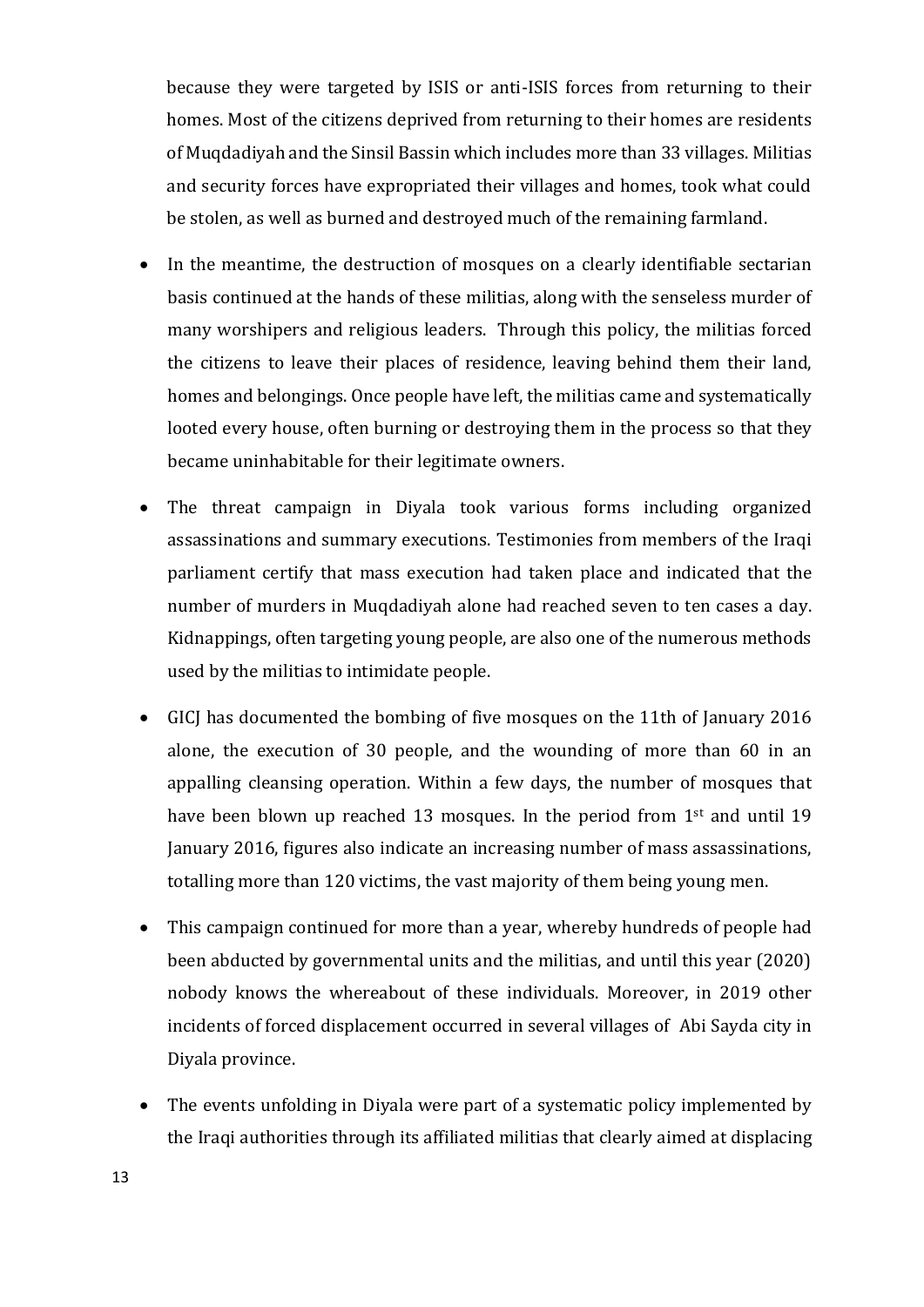because they were targeted by ISIS or anti-ISIS forces from returning to their homes. Most of the citizens deprived from returning to their homes are residents of Muqdadiyah and the Sinsil Bassin which includes more than 33 villages. Militias and security forces have expropriated their villages and homes, took what could be stolen, as well as burned and destroyed much of the remaining farmland.

- In the meantime, the destruction of mosques on a clearly identifiable sectarian basis continued at the hands of these militias, along with the senseless murder of many worshipers and religious leaders. Through this policy, the militias forced the citizens to leave their places of residence, leaving behind them their land, homes and belongings. Once people have left, the militias came and systematically looted every house, often burning or destroying them in the process so that they became uninhabitable for their legitimate owners.
- The threat campaign in Diyala took various forms including organized assassinations and summary executions. Testimonies from members of the Iraqi parliament certify that mass execution had taken place and indicated that the number of murders in Muqdadiyah alone had reached seven to ten cases a day. Kidnappings, often targeting young people, are also one of the numerous methods used by the militias to intimidate people.
- GICJ has documented the bombing of five mosques on the 11th of January 2016 alone, the execution of 30 people, and the wounding of more than 60 in an appalling cleansing operation. Within a few days, the number of mosques that have been blown up reached 13 mosques. In the period from 1<sup>st</sup> and until 19 January 2016, figures also indicate an increasing number of mass assassinations, totalling more than 120 victims, the vast majority of them being young men.
- This campaign continued for more than a year, whereby hundreds of people had been abducted by governmental units and the militias, and until this year (2020) nobody knows the whereabout of these individuals. Moreover, in 2019 other incidents of forced displacement occurred in several villages of Abi Sayda city in Diyala province.
- The events unfolding in Diyala were part of a systematic policy implemented by the Iraqi authorities through its affiliated militias that clearly aimed at displacing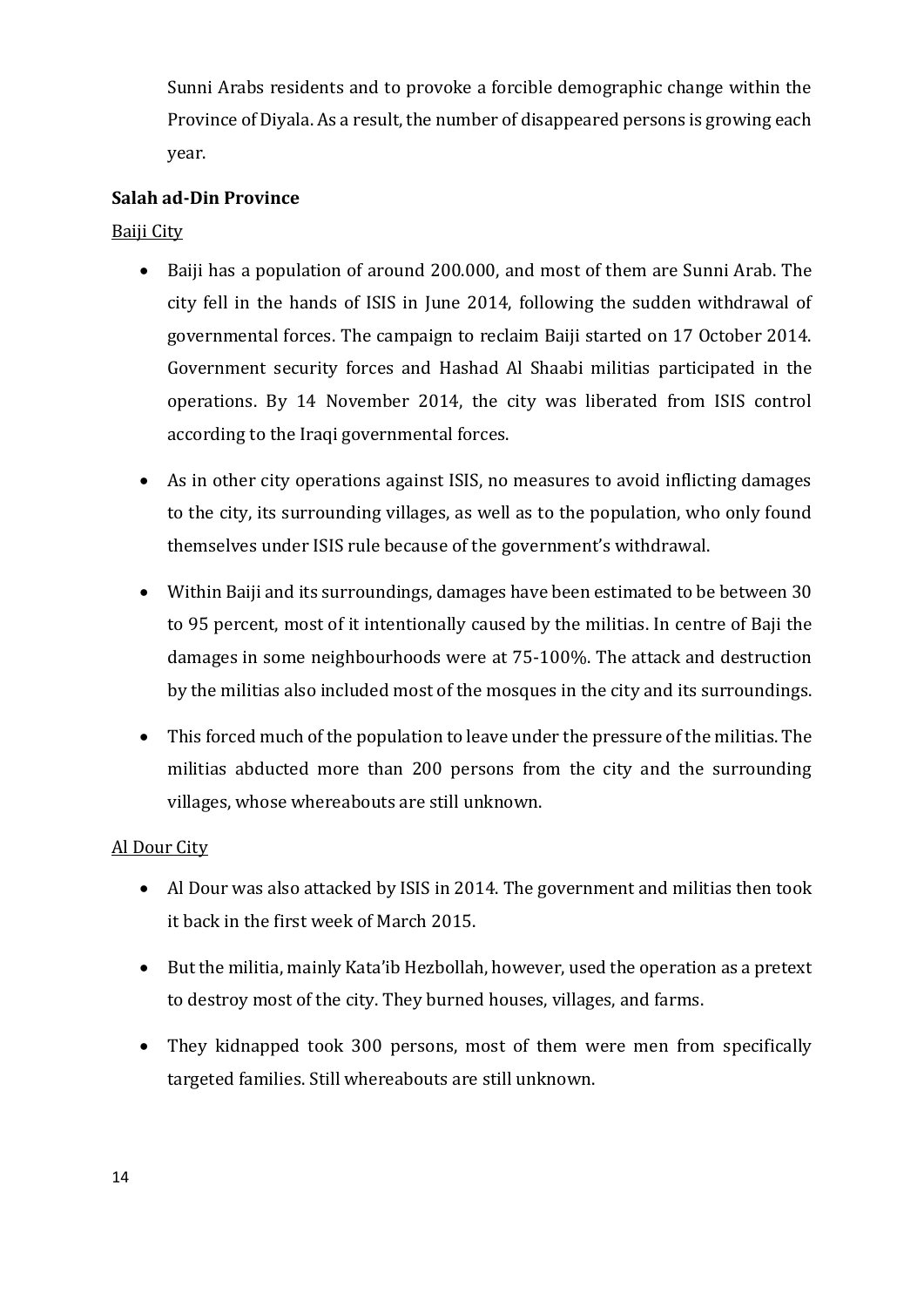Sunni Arabs residents and to provoke a forcible demographic change within the Province of Diyala. As a result, the number of disappeared persons is growing each year.

#### <span id="page-16-0"></span>**Salah ad-Din Province**

<span id="page-16-1"></span>Baiji City

- Baiji has a population of around 200.000, and most of them are Sunni Arab. The city fell in the hands of ISIS in June 2014, following the sudden withdrawal of governmental forces. The campaign to reclaim Baiji started on 17 October 2014. Government security forces and Hashad Al Shaabi militias participated in the operations. By 14 November 2014, the city was liberated from ISIS control according to the Iraqi governmental forces.
- As in other city operations against ISIS, no measures to avoid inflicting damages to the city, its surrounding villages, as well as to the population, who only found themselves under ISIS rule because of the government's withdrawal.
- Within Baiji and its surroundings, damages have been estimated to be between 30 to 95 percent, most of it intentionally caused by the militias. In centre of Baji the damages in some neighbourhoods were at 75-100%. The attack and destruction by the militias also included most of the mosques in the city and its surroundings.
- This forced much of the population to leave under the pressure of the militias. The militias abducted more than 200 persons from the city and the surrounding villages, whose whereabouts are still unknown.

#### <span id="page-16-2"></span>Al Dour City

- Al Dour was also attacked by ISIS in 2014. The government and militias then took it back in the first week of March 2015.
- But the militia, mainly Kata'ib Hezbollah, however, used the operation as a pretext to destroy most of the city. They burned houses, villages, and farms.
- They kidnapped took 300 persons, most of them were men from specifically targeted families. Still whereabouts are still unknown.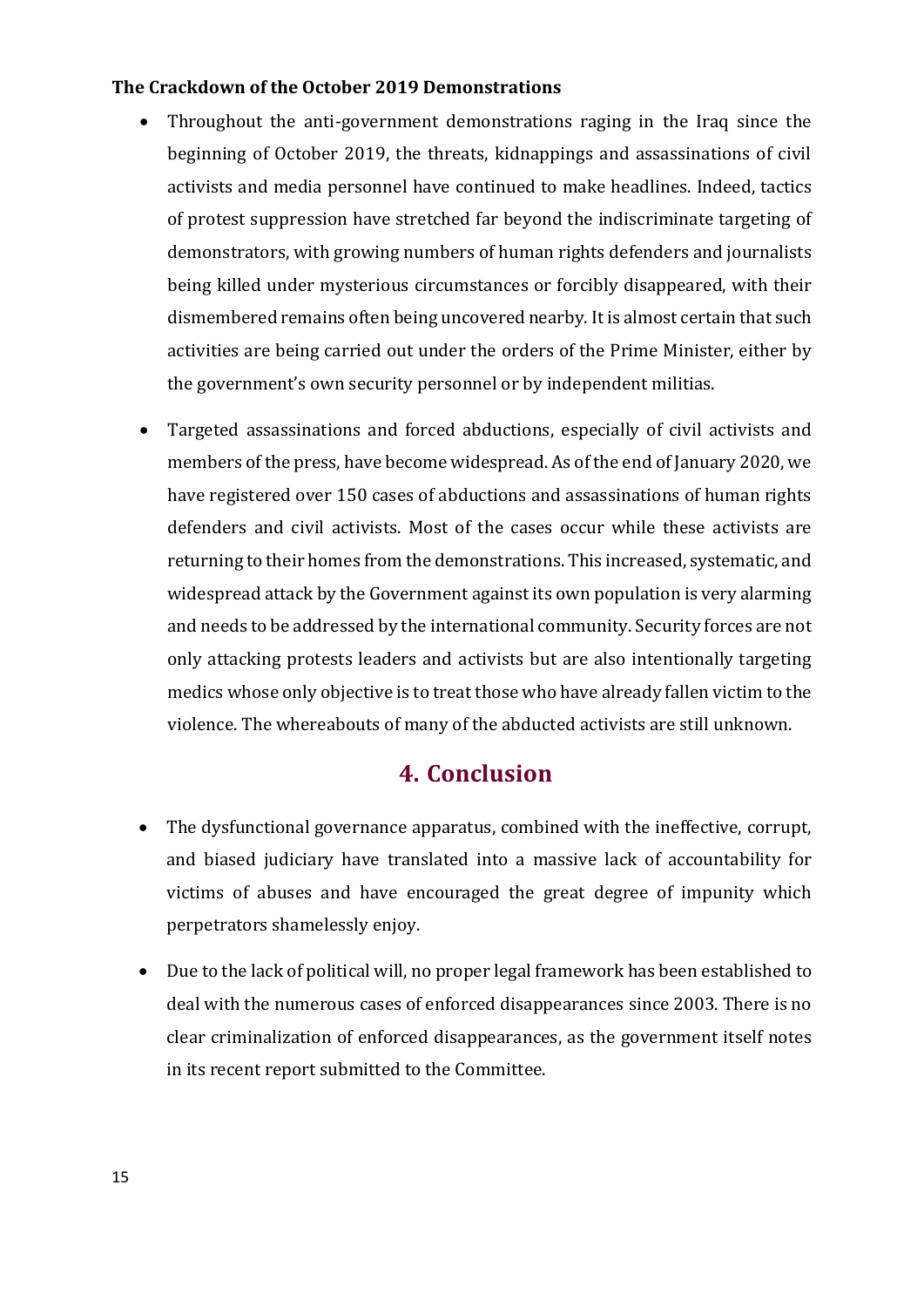#### <span id="page-17-0"></span>**The Crackdown of the October 2019 Demonstrations**

- Throughout the anti-government demonstrations raging in the Iraq since the beginning of October 2019, the threats, kidnappings and assassinations of civil activists and media personnel have continued to make headlines. Indeed, tactics of protest suppression have stretched far beyond the indiscriminate targeting of demonstrators, with growing numbers of human rights defenders and journalists being killed under mysterious circumstances or forcibly disappeared, with their dismembered remains often being uncovered nearby. It is almost certain that such activities are being carried out under the orders of the Prime Minister, either by the government's own security personnel or by independent militias.
- Targeted assassinations and forced abductions, especially of civil activists and members of the press, have become widespread. As of the end of January 2020, we have registered over 150 cases of abductions and assassinations of human rights defenders and civil activists. Most of the cases occur while these activists are returning to their homes from the demonstrations. This increased, systematic, and widespread attack by the Government against its own population is very alarming and needs to be addressed by the international community. Security forces are not only attacking protests leaders and activists but are also intentionally targeting medics whose only objective is to treat those who have already fallen victim to the violence. The whereabouts of many of the abducted activists are still unknown.

## **4. Conclusion**

- <span id="page-17-1"></span>• The dysfunctional governance apparatus, combined with the ineffective, corrupt, and biased judiciary have translated into a massive lack of accountability for victims of abuses and have encouraged the great degree of impunity which perpetrators shamelessly enjoy.
- Due to the lack of political will, no proper legal framework has been established to deal with the numerous cases of enforced disappearances since 2003. There is no clear criminalization of enforced disappearances, as the government itself notes in its recent report submitted to the Committee.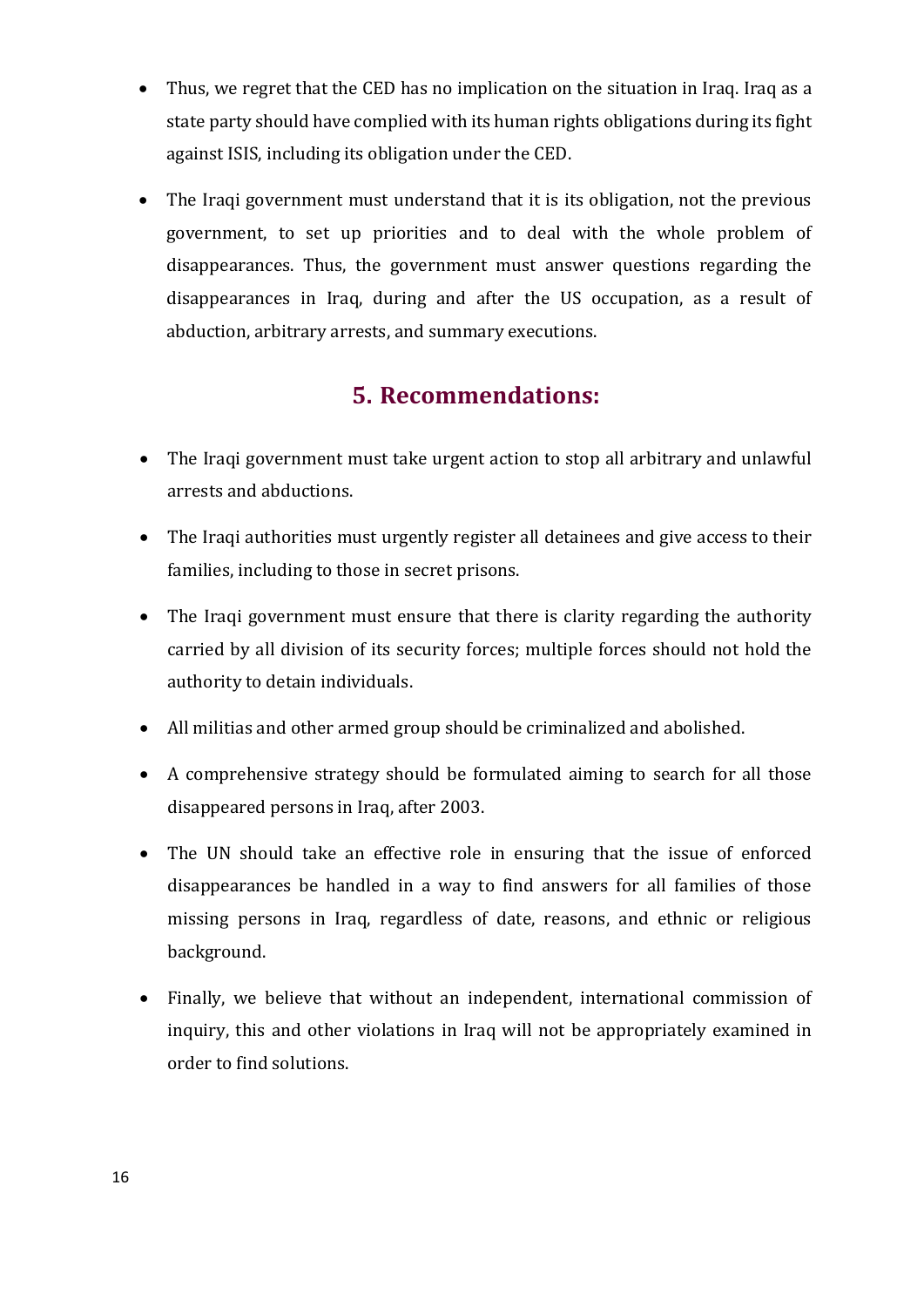- Thus, we regret that the CED has no implication on the situation in Iraq. Iraq as a state party should have complied with its human rights obligations during its fight against ISIS, including its obligation under the CED.
- The Iraqi government must understand that it is its obligation, not the previous government, to set up priorities and to deal with the whole problem of disappearances. Thus, the government must answer questions regarding the disappearances in Iraq, during and after the US occupation, as a result of abduction, arbitrary arrests, and summary executions.

## **5. Recommendations:**

- <span id="page-18-0"></span>• The Iraqi government must take urgent action to stop all arbitrary and unlawful arrests and abductions.
- The Iraqi authorities must urgently register all detainees and give access to their families, including to those in secret prisons.
- The Iraqi government must ensure that there is clarity regarding the authority carried by all division of its security forces; multiple forces should not hold the authority to detain individuals.
- All militias and other armed group should be criminalized and abolished.
- A comprehensive strategy should be formulated aiming to search for all those disappeared persons in Iraq, after 2003.
- The UN should take an effective role in ensuring that the issue of enforced disappearances be handled in a way to find answers for all families of those missing persons in Iraq, regardless of date, reasons, and ethnic or religious background.
- Finally, we believe that without an independent, international commission of inquiry, this and other violations in Iraq will not be appropriately examined in order to find solutions.